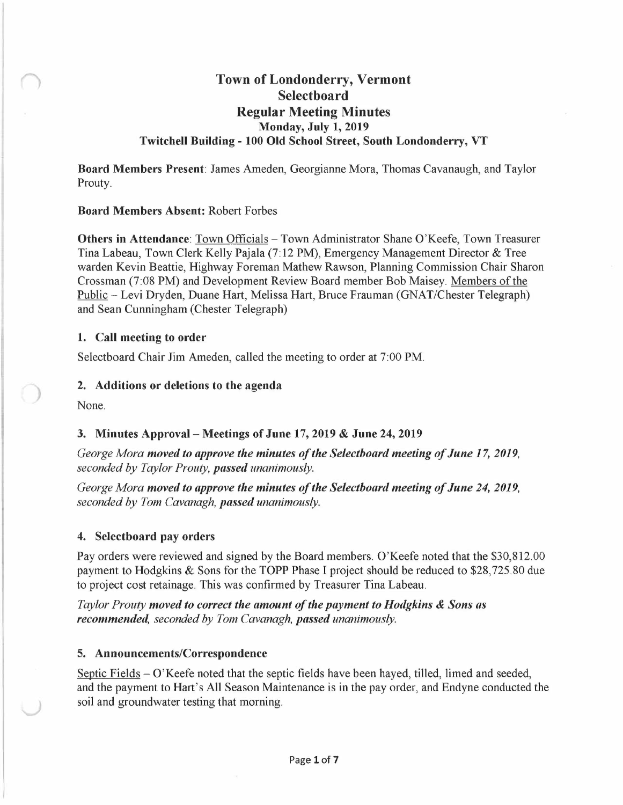# **Town of Londonderry, Vermont Select board Regular Meeting Minutes Monday, July 1, 2019 Twitchell Building - 100 Old School Street, South Londonderry, VT**

**Board Members Present:** James Ameden, Georgianne Mora, Thomas Cavanaugh, and Taylor Prouty.

#### **Board Members Absent:** Robert Forbes

**Others in Attendance**: Town Officials – Town Administrator Shane O'Keefe, Town Treasurer Tina Labeau, Town Clerk Kelly Pajala (7: 12 PM), Emergency Management Director & Tree warden Kevin Beattie, Highway Foreman Mathew Rawson, Planning Commission Chair Sharon Crossman (7:08 PM) and Development Review Board member Bob Maisey. Members of the Public - Levi Dryden, Duane Hart, Melissa Hart, Bruce Frauman (GNAT/Chester Telegraph) and Sean Cunningham (Chester Telegraph)

#### **1. Call meeting to order**

Selectboard Chair Jim Ameden, called the meeting to order at 7:00 PM.

#### **2. Additions or deletions to the agenda**

None.

)

#### **3. Minutes Approval- Meetings of June 17, 2019** & **June 24, 2019**

*George Mora moved to approve the minutes of the Selectboard meeting of June 17, 2019, seconded by Taylor Prouty, passed unanimously.* 

*George Mora moved to approve the minutes of the Selectboard meeting of June 24, 2019, seconded by Tom Cavanagh, passed unanimously.* 

#### **4. Selectboard pay orders**

Pay orders were reviewed and signed by the Board members. O'Keefe noted that the \$30,812.00 payment to Hodgkins & Sons for the TOPP Phase I project should be reduced to \$28,725.80 due to project cost retainage. This was confirmed by Treasurer Tina Labeau.

*Taylor Prouty moved to correct the amount of the payment to Hodgkins* & *Sons as recommended, seconded by Tom Cavanagh, passed unanimously.* 

#### **5. Announcements/Correspondence**

Septic Fields – O'Keefe noted that the septic fields have been hayed, tilled, limed and seeded, and the payment to Hart's All Season Maintenance is in the pay order, and Endyne conducted the soil and groundwater testing that morning.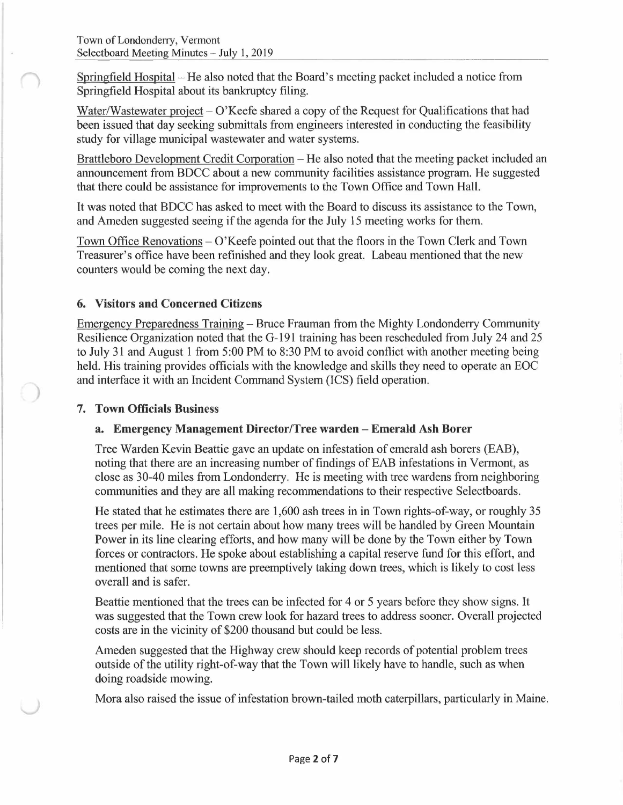Springfield Hospital – He also noted that the Board's meeting packet included a notice from Springfield Hospital about its bankruptcy filing.

Water/Wastewater project  $- O'$ Keefe shared a copy of the Request for Qualifications that had been issued that day seeking submittals from engineers interested in conducting the feasibility study for village municipal wastewater and water systems.

Brattleboro Development Credit Corporation – He also noted that the meeting packet included an announcement from BDCC about a new community facilities assistance program. He suggested that there could be assistance for improvements to the Town Office and Town Hall.

It was noted that BDCC has asked to meet with the Board to discuss its assistance to the Town, and Ameden suggested seeing if the agenda for the July 15 meeting works for them.

Town Office Renovations – O'Keefe pointed out that the floors in the Town Clerk and Town Treasurer's office have been refinished and they look great. Labeau mentioned that the new counters would be coming the next day.

### **6. Visitors and Concerned Citizens**

Emergency Preparedness Training - Bruce Frauman from the Mighty Londonderry Community Resilience Organization noted that the G-191 training has been rescheduled from July 24 and 25 to July 31 and August 1 from 5:00 PM to 8:30 PM to avoid conflict with another meeting being held. His training provides officials with the knowledge and skills they need to operate an EOC and interface it with an Incident Command System (JCS) field operation.

#### **7. Town Officials Business**

)

# **a. Emergency Management Director/Tree warden - Emerald Ash Borer**

Tree Warden Kevin Beattie gave an update on infestation of emerald ash borers (EAB), noting that there are an increasing number of findings of EAB infestations in Vermont, as close as 30-40 miles from Londonderry. He is meeting with tree wardens from neighboring communities and they are all making recommendations to their respective Selectboards.

He stated that he estimates there are 1,600 ash trees in in Town rights-of-way, or roughly 35 trees per mile. He is not certain about how many trees will be handled by Green Mountain Power in its line clearing efforts, and how many will be done by the Town either by Town forces or contractors. He spoke about establishing a capital reserve fund for this effort, and mentioned that some towns are preemptively taking down trees, which is likely to cost less overall and is safer.

Beattie mentioned that the trees can be infected for 4 or 5 years before they show signs. It was suggested that the Town crew look for hazard trees to address sooner. Overall projected costs are in the vicinity of \$200 thousand but could be less.

Ameden suggested that the Highway crew should keep records of potential problem trees outside of the utility right-of-way that the Town will likely have to handle, such as when doing roadside mowing.

Mora also raised the issue of infestation brown-tailed moth caterpillars, particularly in Maine.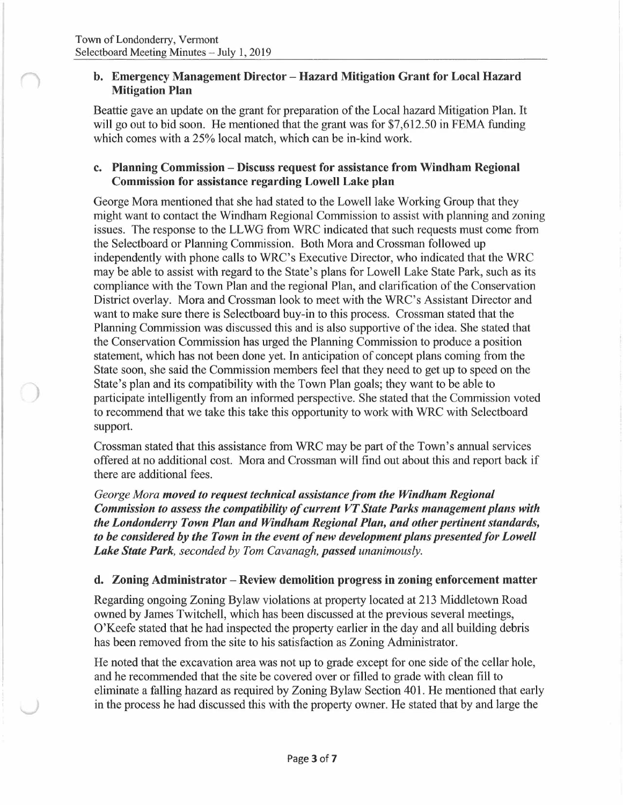)

### **b. Emergency Management Director - Hazard Mitigation Grant for Local Hazard Mitigation Plan**

Beattie gave an update on the grant for preparation of the Local hazard Mitigation Plan. It will go out to bid soon. He mentioned that the grant was for \$7,612.50 in FEMA funding which comes with a 25% local match, which can be in-kind work.

### **c. Planning Commission - Discuss request for assistance from Windham Regional Commission for assistance regarding Lowell Lake plan**

George Mora mentioned that she had stated to the Lowell lake Working Group that they might want to contact the Windham Regional Commission to assist with planning and zoning issues. The response to the LL WG from WRC indicated that such requests must come from the Selectboard or Planning Commission. Both Mora and Crossman followed up independently with phone calls to WRC's Executive Director, who indicated that the WRC may be able to assist with regard to the State's plans for Lowell Lake State Park, such as its compliance with the Town Plan and the regional Plan, and clarification of the Conservation District overlay. Mora and Crossman look to meet with the WRC's Assistant Director and want to make sure there is Selectboard buy-in to this process. Crossman stated that the Planning Commission was discussed this and is also supportive of the idea. She stated that the Conservation Commission has urged the Planning Commission to produce a position statement, which has not been done yet. In anticipation of concept plans coming from the State soon, she said the Commission members feel that they need to get up to speed on the State's plan and its compatibility with the Town Plan goals; they want to be able to participate intelligently from an informed perspective. She stated that the Commission voted to recommend that we take this take this opportunity to work with WRC with Selectboard support.

Crossman stated that this assistance from WRC may be part of the Town's annual services offered at no additional cost. Mora and Crossman will find out about this and report back if there are additional fees.

*George Mora moved to request technical assistance from the Windham Regional Commission to assess the compatibility of current VT State Parks management plans with the Londonderry Town Plan and Windham Regional Plan, and other pertinent standards,*  to be considered by the Town in the event of new development plans presented for Lowell *Lake State Park, seconded by Tom Cavanagh, passed unanimously.* 

# **d. Zoning Administrator - Review demolition progress in zoning enforcement matter**

Regarding ongoing Zoning Bylaw violations at property located at 213 Middletown Road owned by James Twitchell, which has been discussed at the previous several meetings, O'Keefe stated that he had inspected the property earlier in the day and all building debris has been removed from the site to his satisfaction as Zoning Administrator.

He noted that the excavation area was not up to grade except for one side of the cellar hole, and he recommended that the site be covered over or filled to grade with clean fill to eliminate a falling hazard as required by Zoning Bylaw Section 401. He mentioned that early in the process he had discussed this with the property owner. He stated that by and large the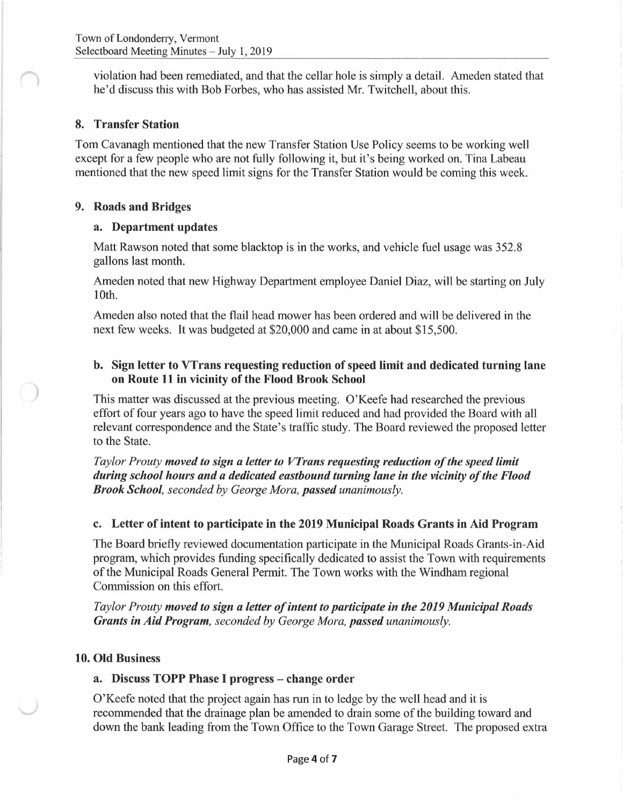violation had been remediated, and that the cellar hole is simply a detail. Ameden stated that he'd discuss this with Bob Forbes, who has assisted Mr . Twitchell, about this.

### **8. Transfer Station**

Tom Cavanagh mentioned that the new Transfer Station Use Policy seems to be working well except for a few people who are not fully following it, but it's being worked on. Tina Labeau mentioned that the new speed limit signs for the Transfer Station would be coming this week.

### **9. Roads and Bridges**

)

### **a. Department updates**

Matt Rawson noted that some blacktop is in the works, and vehicle fuel usage was 352.8 gallons last month.

Ameden noted that new Highway Department employee Daniel Diaz, will be starting on July 10th.

Ameden also noted that the flail head mower has been ordered and will be delivered in the next few weeks. It was budgeted at \$20,000 and came in at about \$15,500.

# **b. Sign letter to VTrans requesting reduction of speed limit and dedicated turning lane on Route 11 in vicinity of the Flood Brook School**

This matter was discussed at the previous meeting. O'Keefe had researched the previous effort of four years ago to have the speed limit reduced and had provided the Board with all relevant correspondence and the State's traffic study. The Board reviewed the proposed letter to the State.

*Taylor Prouty moved to sign a letter to VTrans requesting reduction of the speed limit during school hours and a dedicated eastbound turning lane in the vicinity of the Flood Brook School, seconded by George Mora, passed unanimously.* 

# **c. Letter of intent to participate in the 2019 Municipal Roads Grants in Aid Program**

The Board briefly reviewed documentation participate in the Municipal Roads Grants-in-Aid program, which provides funding specifically dedicated to assist the Town with requirements of the Municipal Roads General Permit. The Town works with the Windham regional Commission on this effort.

*Taylor Prouty moved to sign a letter of intent to participate in the 2019 Municipal Roads Grants in Aid Program, seconded by George Mora, passed unanimously.* 

# **10. Old Business**

# **a. Discuss TOPP Phase** I **progress - change order**

O'Keefe noted that the project again has run in to ledge by the well head and it is recommended that the drainage plan be amended to drain some of the building toward and down the bank leading from the Town Office to the Town Garage Street. The proposed extra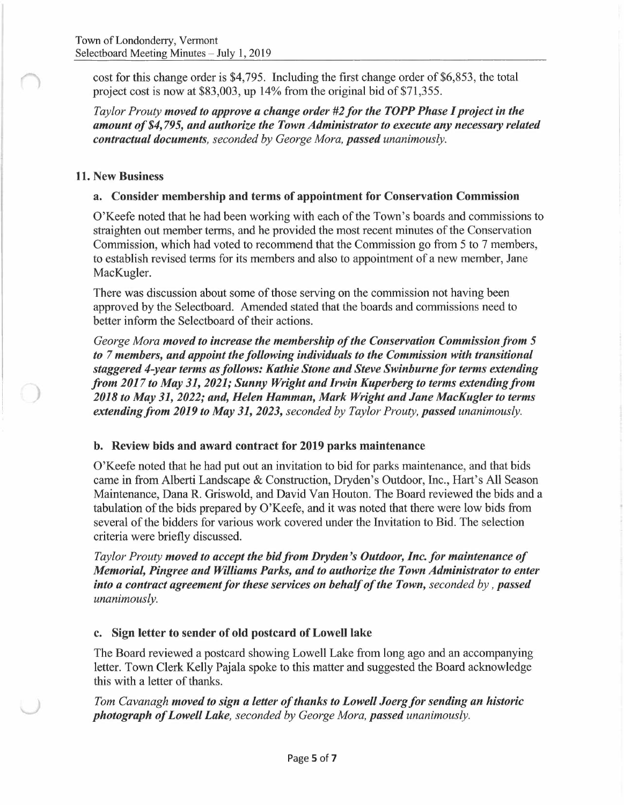cost for this change order is \$4,795. Including the first change order of \$6,853, the total project cost is now at \$83,003, up 14% from the original bid of \$71,355.

*Taylor Prouty moved to approve a change order #2 for the TOPP Phase I project in the amount of \$4,795, and authorize the Town Administrator to execute any necessary related contractual documents, seconded by George Mora, passed unanimously.* 

#### **11. New Business**

*)* 

### **a. Consider membership and terms of appointment for Conservation Commission**

O'Keefe noted that he had been working with each of the Town's boards and commissions to straighten out member terms, and he provided the most recent minutes of the Conservation Commission, which had voted to recommend that the Commission go from 5 to 7 members, to establish revised terms for its members and also to appointment of a new member, Jane MacKugler.

There was discussion about some of those serving on the commission not having been approved by the Selectboard. Amended stated that the boards and commissions need to better inform the Selectboard of their actions.

*George Mora moved to increase the membership of the Conservation Commission from* **<sup>5</sup>** *to* 7 *members, and appoint the following individuals to the Commission with transitional staggered 4-year terms as follows: Kathie Stone and Steve Swinburne for terms extending from 2017 to May 31, 2021; Sunny Wright and Irwin Kuperberg to terms extending from 2018 to May 31, 2022; and, Helen Hamman, Mark Wright and Jane MacKugler to terms extending from 2019 to May 31, 2023, seconded by Taylor Prouty, passed unanimously.* 

# **b. Review bids and award contract for 2019 parks maintenance**

O'Keefe noted that he had put out an invitation to bid for parks maintenance, and that bids came in from Alberti Landscape & Construction, Dryden's Outdoor, Inc., Hart's All Season Maintenance, Dana R. Griswold, and David Van Routon. The Board reviewed the bids and a tabulation of the bids prepared by O'Keefe, and it was noted that there were low bids from several of the bidders for various work covered under the Invitation to Bid. The selection criteria were briefly discussed.

*Taylor Prouty moved to accept the bid from Dryden's Outdoor, Inc. for maintenance of Memorial, Pingree and Williams Parks, and to authorize the Town Administrator to enter into a contract agreement for these services on behalf of the Town, seconded by, passed unanimously.* 

# **c. Sign letter to sender of old postcard of Lowell lake**

The Board reviewed a postcard showing Lowell Lake from long ago and an accompanying letter. Town Clerk Kelly Pajala spoke to this matter and suggested the Board acknowledge this with a letter of thanks.

*Tom Cavanagh moved to sign a letter of thanks to Lowell Joerg/or sending an historic photograph of Lowell Lake, seconded by George Mora, passed unanimously.*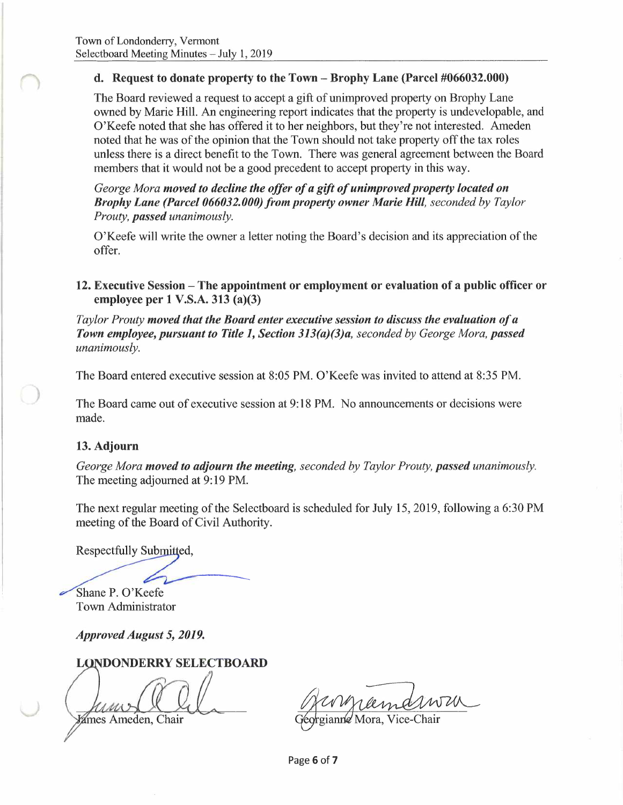### **d. Request to donate property to the Town - Brophy Lane (Parcel #066032.000)**

The Board reviewed a request to accept a gift of unimproved property on Brophy Lane owned by Marie Hill. An engineering report indicates that the property is undevelopable, and O'Keefe noted that she has offered it to her neighbors, but they're not interested. Ameden noted that he was of the opinion that the Town should not take property off the tax roles unless there is a direct benefit to the Town. There was general agreement between the Board members that it would not be a good precedent to accept property in this way.

*George Mora moved to decline the offer of a gift of unimproved property located on Brophy Lane (Parcel 066032.000) from property owner Marie Hill, seconded by Taylor Prouty, passed unanimously.* 

O'Keefe will write the owner a letter noting the Board's decision and its appreciation of the offer.

### **12. Executive Session - The appointment or employment or evaluation of a public officer or employee per 1 V.S.A. 313 (a)(3)**

*Taylor Prouty moved that the Board enter executive session to discuss the evaluation of a*  **Town employee, pursuant to Title 1, Section 313(a)(3)a**, seconded by George Mora, passed *unanimously.* 

The Board entered executive session at 8:05 PM. O'Keefe was invited to attend at 8:35 PM.

The Board came out of executive session at 9: 18 PM. No announcements or decisions were made.

#### **13. Adjourn**

)

*George Mora moved to adjourn the meeting, seconded by Taylor Prouty, passed unanimously.*  The meeting adjourned at 9:19 PM.

The next regular meeting of the Selectboard is scheduled for July 15, 2019, following a 6:30 PM meeting of the Board of Civil Authority.

Respectfully Submitted,

Shane P. O'Keefe

Town Administrator

*Approved August 5, 2019.* 

**LONDONDERRY SELECTBOARD** 

**Zimes Ameden**, Chair

Mora, Vice-Chair

Page **6** of **7**